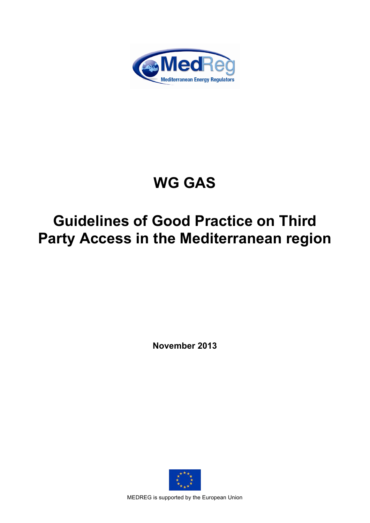

# **WG GAS**

## **Guidelines of Good Practice on Third Party Access in the Mediterranean region**

**November 2013**



MEDREG is supported by the European Union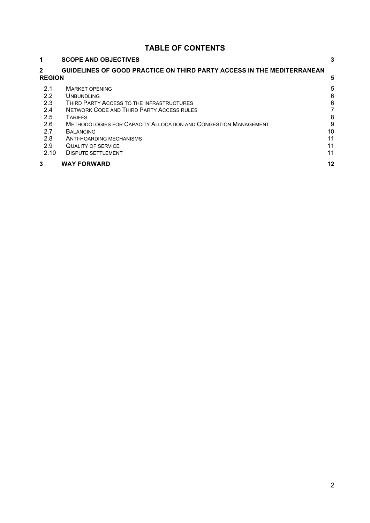## **TABLE OF CONTENTS**

| 1                             | <b>SCOPE AND OBJECTIVES</b>                                            | 3  |
|-------------------------------|------------------------------------------------------------------------|----|
| $\mathbf{2}$<br><b>REGION</b> | GUIDELINES OF GOOD PRACTICE ON THIRD PARTY ACCESS IN THE MEDITERRANEAN | 5  |
| 2.1                           | <b>MARKET OPENING</b>                                                  | 5  |
| 2.2                           | <b>UNBUNDLING</b>                                                      | 6  |
| 2.3                           | THIRD PARTY ACCESS TO THE INFRASTRUCTURES                              | 6  |
| 2.4                           | <b>NETWORK CODE AND THIRD PARTY ACCESS RULES</b>                       |    |
| 2.5                           | <b>TARIFFS</b>                                                         | 8  |
| 2.6                           | <b>METHODOLOGIES FOR CAPACITY ALLOCATION AND CONGESTION MANAGEMENT</b> | 9  |
| 2.7                           | <b>BALANCING</b>                                                       | 10 |
| 2.8                           | ANTI-HOARDING MECHANISMS                                               | 11 |
| 2.9                           | <b>QUALITY OF SERVICE</b>                                              | 11 |
| 2.10                          | <b>DISPUTE SETTLEMENT</b>                                              | 11 |
| 3                             | <b>WAY FORWARD</b>                                                     | 12 |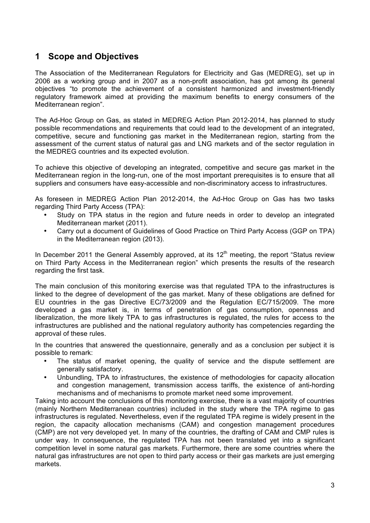## **1 Scope and Objectives**

The Association of the Mediterranean Regulators for Electricity and Gas (MEDREG), set up in 2006 as a working group and in 2007 as a non-profit association, has got among its general objectives "to promote the achievement of a consistent harmonized and investment-friendly regulatory framework aimed at providing the maximum benefits to energy consumers of the Mediterranean region".

The Ad-Hoc Group on Gas, as stated in MEDREG Action Plan 2012-2014, has planned to study possible recommendations and requirements that could lead to the development of an integrated, competitive, secure and functioning gas market in the Mediterranean region, starting from the assessment of the current status of natural gas and LNG markets and of the sector regulation in the MEDREG countries and its expected evolution.

To achieve this objective of developing an integrated, competitive and secure gas market in the Mediterranean region in the long-run, one of the most important prerequisites is to ensure that all suppliers and consumers have easy-accessible and non-discriminatory access to infrastructures.

As foreseen in MEDREG Action Plan 2012-2014, the Ad-Hoc Group on Gas has two tasks regarding Third Party Access (TPA):

- Study on TPA status in the region and future needs in order to develop an integrated Mediterranean market (2011).
- Carry out a document of Guidelines of Good Practice on Third Party Access (GGP on TPA) in the Mediterranean region (2013).

In December 2011 the General Assembly approved, at its  $12<sup>th</sup>$  meeting, the report "Status review on Third Party Access in the Mediterranean region" which presents the results of the research regarding the first task.

The main conclusion of this monitoring exercise was that regulated TPA to the infrastructures is linked to the degree of development of the gas market. Many of these obligations are defined for EU countries in the gas Directive EC/73/2009 and the Regulation EC/715/2009. The more developed a gas market is, in terms of penetration of gas consumption, openness and liberalization, the more likely TPA to gas infrastructures is regulated, the rules for access to the infrastructures are published and the national regulatory authority has competencies regarding the approval of these rules.

In the countries that answered the questionnaire, generally and as a conclusion per subject it is possible to remark:

- The status of market opening, the quality of service and the dispute settlement are generally satisfactory.
- Unbundling, TPA to infrastructures, the existence of methodologies for capacity allocation and congestion management, transmission access tariffs, the existence of anti-hording mechanisms and of mechanisms to promote market need some improvement.

Taking into account the conclusions of this monitoring exercise, there is a vast majority of countries (mainly Northern Mediterranean countries) included in the study where the TPA regime to gas infrastructures is regulated. Nevertheless, even if the regulated TPA regime is widely present in the region, the capacity allocation mechanisms (CAM) and congestion management procedures (CMP) are not very developed yet. In many of the countries, the drafting of CAM and CMP rules is under way. In consequence, the regulated TPA has not been translated yet into a significant competition level in some natural gas markets. Furthermore, there are some countries where the natural gas infrastructures are not open to third party access or their gas markets are just emerging markets.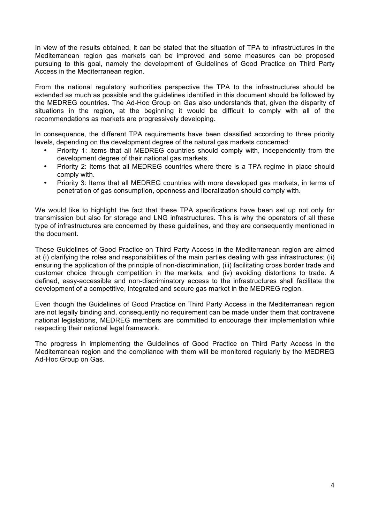In view of the results obtained, it can be stated that the situation of TPA to infrastructures in the Mediterranean region gas markets can be improved and some measures can be proposed pursuing to this goal, namely the development of Guidelines of Good Practice on Third Party Access in the Mediterranean region.

From the national regulatory authorities perspective the TPA to the infrastructures should be extended as much as possible and the guidelines identified in this document should be followed by the MEDREG countries. The Ad-Hoc Group on Gas also understands that, given the disparity of situations in the region, at the beginning it would be difficult to comply with all of the recommendations as markets are progressively developing.

In consequence, the different TPA requirements have been classified according to three priority levels, depending on the development degree of the natural gas markets concerned:

- Priority 1: Items that all MEDREG countries should comply with, independently from the development degree of their national gas markets.
- Priority 2: Items that all MEDREG countries where there is a TPA regime in place should comply with.
- Priority 3: Items that all MEDREG countries with more developed gas markets, in terms of penetration of gas consumption, openness and liberalization should comply with.

We would like to highlight the fact that these TPA specifications have been set up not only for transmission but also for storage and LNG infrastructures. This is why the operators of all these type of infrastructures are concerned by these guidelines, and they are consequently mentioned in the document.

These Guidelines of Good Practice on Third Party Access in the Mediterranean region are aimed at (i) clarifying the roles and responsibilities of the main parties dealing with gas infrastructures; (ii) ensuring the application of the principle of non-discrimination, (iii) facilitating cross border trade and customer choice through competition in the markets, and (iv) avoiding distortions to trade. A defined, easy-accessible and non-discriminatory access to the infrastructures shall facilitate the development of a competitive, integrated and secure gas market in the MEDREG region.

Even though the Guidelines of Good Practice on Third Party Access in the Mediterranean region are not legally binding and, consequently no requirement can be made under them that contravene national legislations, MEDREG members are committed to encourage their implementation while respecting their national legal framework.

The progress in implementing the Guidelines of Good Practice on Third Party Access in the Mediterranean region and the compliance with them will be monitored regularly by the MEDREG Ad-Hoc Group on Gas.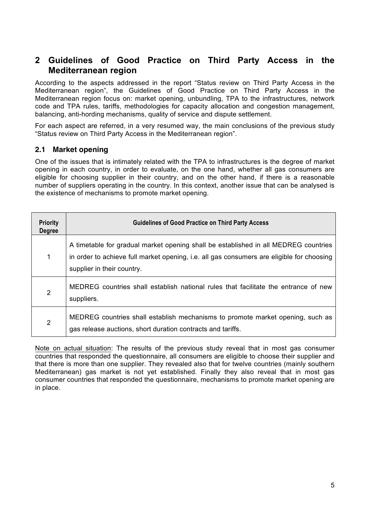### **2 Guidelines of Good Practice on Third Party Access in the Mediterranean region**

According to the aspects addressed in the report "Status review on Third Party Access in the Mediterranean region", the Guidelines of Good Practice on Third Party Access in the Mediterranean region focus on: market opening, unbundling, TPA to the infrastructures, network code and TPA rules, tariffs, methodologies for capacity allocation and congestion management, balancing, anti-hording mechanisms, quality of service and dispute settlement.

For each aspect are referred, in a very resumed way, the main conclusions of the previous study "Status review on Third Party Access in the Mediterranean region".

#### **2.1 Market opening**

One of the issues that is intimately related with the TPA to infrastructures is the degree of market opening in each country, in order to evaluate, on the one hand, whether all gas consumers are eligible for choosing supplier in their country, and on the other hand, if there is a reasonable number of suppliers operating in the country. In this context, another issue that can be analysed is the existence of mechanisms to promote market opening.

| <b>Priority</b><br><b>Degree</b> | <b>Guidelines of Good Practice on Third Party Access</b>                                                                                                                                                       |
|----------------------------------|----------------------------------------------------------------------------------------------------------------------------------------------------------------------------------------------------------------|
| 1                                | A timetable for gradual market opening shall be established in all MEDREG countries<br>in order to achieve full market opening, i.e. all gas consumers are eligible for choosing<br>supplier in their country. |
| $\overline{2}$                   | MEDREG countries shall establish national rules that facilitate the entrance of new<br>suppliers.                                                                                                              |
| 2                                | MEDREG countries shall establish mechanisms to promote market opening, such as<br>gas release auctions, short duration contracts and tariffs.                                                                  |

Note on actual situation: The results of the previous study reveal that in most gas consumer countries that responded the questionnaire, all consumers are eligible to choose their supplier and that there is more than one supplier. They revealed also that for twelve countries (mainly southern Mediterranean) gas market is not yet established. Finally they also reveal that in most gas consumer countries that responded the questionnaire, mechanisms to promote market opening are in place.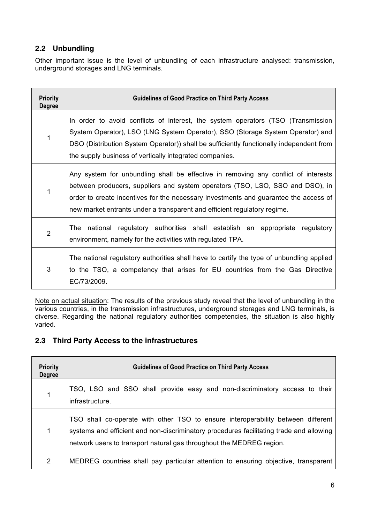#### **2.2 Unbundling**

Other important issue is the level of unbundling of each infrastructure analysed: transmission, underground storages and LNG terminals.

| <b>Priority</b><br><b>Degree</b> | <b>Guidelines of Good Practice on Third Party Access</b>                                                                                                                                                                                                                                                                                |
|----------------------------------|-----------------------------------------------------------------------------------------------------------------------------------------------------------------------------------------------------------------------------------------------------------------------------------------------------------------------------------------|
| 1                                | In order to avoid conflicts of interest, the system operators (TSO (Transmission<br>System Operator), LSO (LNG System Operator), SSO (Storage System Operator) and<br>DSO (Distribution System Operator)) shall be sufficiently functionally independent from<br>the supply business of vertically integrated companies.                |
| 1                                | Any system for unbundling shall be effective in removing any conflict of interests<br>between producers, suppliers and system operators (TSO, LSO, SSO and DSO), in<br>order to create incentives for the necessary investments and guarantee the access of<br>new market entrants under a transparent and efficient regulatory regime. |
| $\overline{2}$                   | The national regulatory authorities shall establish an appropriate regulatory<br>environment, namely for the activities with regulated TPA.                                                                                                                                                                                             |
| 3                                | The national regulatory authorities shall have to certify the type of unbundling applied<br>to the TSO, a competency that arises for EU countries from the Gas Directive<br>EC/73/2009.                                                                                                                                                 |

Note on actual situation: The results of the previous study reveal that the level of unbundling in the various countries, in the transmission infrastructures, underground storages and LNG terminals, is diverse. Regarding the national regulatory authorities competencies, the situation is also highly varied.

#### **2.3 Third Party Access to the infrastructures**

| <b>Priority</b><br><b>Degree</b> | <b>Guidelines of Good Practice on Third Party Access</b>                                                                                                                                                                                            |
|----------------------------------|-----------------------------------------------------------------------------------------------------------------------------------------------------------------------------------------------------------------------------------------------------|
| 1                                | TSO, LSO and SSO shall provide easy and non-discriminatory access to their<br>infrastructure.                                                                                                                                                       |
| 1                                | TSO shall co-operate with other TSO to ensure interoperability between different<br>systems and efficient and non-discriminatory procedures facilitating trade and allowing<br>network users to transport natural gas throughout the MEDREG region. |
| $\overline{2}$                   | MEDREG countries shall pay particular attention to ensuring objective, transparent                                                                                                                                                                  |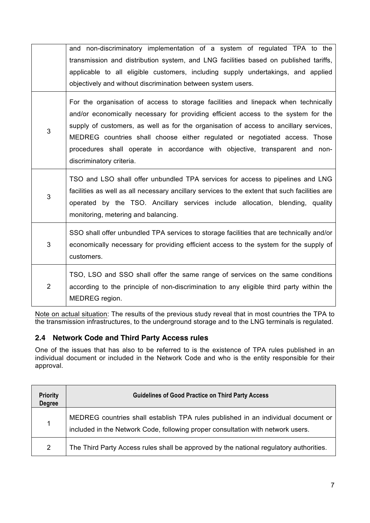|                | and non-discriminatory implementation of a system of regulated TPA to the<br>transmission and distribution system, and LNG facilities based on published tariffs,<br>applicable to all eligible customers, including supply undertakings, and applied<br>objectively and without discrimination between system users.                                                                                                                                      |
|----------------|------------------------------------------------------------------------------------------------------------------------------------------------------------------------------------------------------------------------------------------------------------------------------------------------------------------------------------------------------------------------------------------------------------------------------------------------------------|
| 3              | For the organisation of access to storage facilities and linepack when technically<br>and/or economically necessary for providing efficient access to the system for the<br>supply of customers, as well as for the organisation of access to ancillary services,<br>MEDREG countries shall choose either regulated or negotiated access. Those<br>procedures shall operate in accordance with objective, transparent and non-<br>discriminatory criteria. |
| 3              | TSO and LSO shall offer unbundled TPA services for access to pipelines and LNG<br>facilities as well as all necessary ancillary services to the extent that such facilities are<br>operated by the TSO. Ancillary services include allocation, blending, quality<br>monitoring, metering and balancing.                                                                                                                                                    |
| 3              | SSO shall offer unbundled TPA services to storage facilities that are technically and/or<br>economically necessary for providing efficient access to the system for the supply of<br>customers.                                                                                                                                                                                                                                                            |
| $\overline{2}$ | TSO, LSO and SSO shall offer the same range of services on the same conditions<br>according to the principle of non-discrimination to any eligible third party within the<br>MEDREG region.                                                                                                                                                                                                                                                                |

Note on actual situation: The results of the previous study reveal that in most countries the TPA to the transmission infrastructures, to the underground storage and to the LNG terminals is regulated.

#### **2.4 Network Code and Third Party Access rules**

One of the issues that has also to be referred to is the existence of TPA rules published in an individual document or included in the Network Code and who is the entity responsible for their approval.

| <b>Priority</b><br><b>Degree</b> | <b>Guidelines of Good Practice on Third Party Access</b>                                                                                                             |
|----------------------------------|----------------------------------------------------------------------------------------------------------------------------------------------------------------------|
|                                  | MEDREG countries shall establish TPA rules published in an individual document or<br>included in the Network Code, following proper consultation with network users. |
| 2                                | The Third Party Access rules shall be approved by the national regulatory authorities.                                                                               |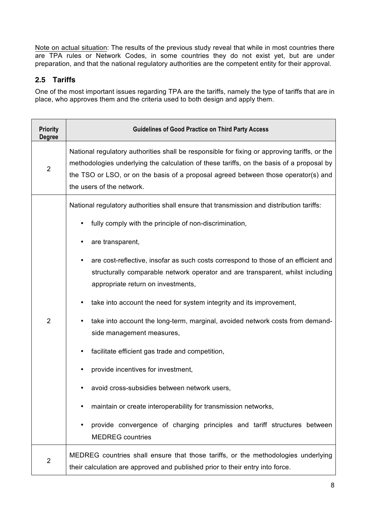Note on actual situation: The results of the previous study reveal that while in most countries there are TPA rules or Network Codes, in some countries they do not exist yet, but are under preparation, and that the national regulatory authorities are the competent entity for their approval.

#### **2.5 Tariffs**

One of the most important issues regarding TPA are the tariffs, namely the type of tariffs that are in place, who approves them and the criteria used to both design and apply them.

| <b>Priority</b><br><b>Degree</b> | <b>Guidelines of Good Practice on Third Party Access</b>                                                                                                                                                                                                                                                                                                                                                                                                                                                                                                                                                                                                                                                                                                                                                                                                                                          |
|----------------------------------|---------------------------------------------------------------------------------------------------------------------------------------------------------------------------------------------------------------------------------------------------------------------------------------------------------------------------------------------------------------------------------------------------------------------------------------------------------------------------------------------------------------------------------------------------------------------------------------------------------------------------------------------------------------------------------------------------------------------------------------------------------------------------------------------------------------------------------------------------------------------------------------------------|
| $\overline{2}$                   | National regulatory authorities shall be responsible for fixing or approving tariffs, or the<br>methodologies underlying the calculation of these tariffs, on the basis of a proposal by<br>the TSO or LSO, or on the basis of a proposal agreed between those operator(s) and<br>the users of the network.                                                                                                                                                                                                                                                                                                                                                                                                                                                                                                                                                                                       |
| $\overline{2}$                   | National regulatory authorities shall ensure that transmission and distribution tariffs:<br>fully comply with the principle of non-discrimination,<br>are transparent,<br>are cost-reflective, insofar as such costs correspond to those of an efficient and<br>structurally comparable network operator and are transparent, whilst including<br>appropriate return on investments,<br>take into account the need for system integrity and its improvement,<br>take into account the long-term, marginal, avoided network costs from demand-<br>side management measures,<br>facilitate efficient gas trade and competition,<br>provide incentives for investment,<br>avoid cross-subsidies between network users,<br>maintain or create interoperability for transmission networks,<br>٠<br>provide convergence of charging principles and tariff structures between<br><b>MEDREG</b> countries |
| $\overline{2}$                   | MEDREG countries shall ensure that those tariffs, or the methodologies underlying                                                                                                                                                                                                                                                                                                                                                                                                                                                                                                                                                                                                                                                                                                                                                                                                                 |
|                                  | their calculation are approved and published prior to their entry into force.                                                                                                                                                                                                                                                                                                                                                                                                                                                                                                                                                                                                                                                                                                                                                                                                                     |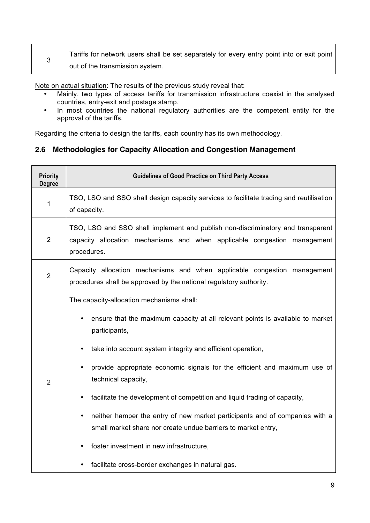|  | Tariffs for network users shall be set separately for every entry point into or exit point |
|--|--------------------------------------------------------------------------------------------|
|  | out of the transmission system.                                                            |

Note on actual situation: The results of the previous study reveal that:

- Mainly, two types of access tariffs for transmission infrastructure coexist in the analysed countries, entry-exit and postage stamp.
- In most countries the national regulatory authorities are the competent entity for the approval of the tariffs.

Regarding the criteria to design the tariffs, each country has its own methodology.

#### **2.6 Methodologies for Capacity Allocation and Congestion Management**

| <b>Priority</b><br><b>Degree</b> | <b>Guidelines of Good Practice on Third Party Access</b>                                                                                                                                                                                                                                                                                                                                                                                                                                                                                                                                                                                                                             |
|----------------------------------|--------------------------------------------------------------------------------------------------------------------------------------------------------------------------------------------------------------------------------------------------------------------------------------------------------------------------------------------------------------------------------------------------------------------------------------------------------------------------------------------------------------------------------------------------------------------------------------------------------------------------------------------------------------------------------------|
| 1                                | TSO, LSO and SSO shall design capacity services to facilitate trading and reutilisation<br>of capacity.                                                                                                                                                                                                                                                                                                                                                                                                                                                                                                                                                                              |
| $\overline{2}$                   | TSO, LSO and SSO shall implement and publish non-discriminatory and transparent<br>capacity allocation mechanisms and when applicable congestion management<br>procedures.                                                                                                                                                                                                                                                                                                                                                                                                                                                                                                           |
| $\overline{2}$                   | Capacity allocation mechanisms and when applicable congestion management<br>procedures shall be approved by the national regulatory authority.                                                                                                                                                                                                                                                                                                                                                                                                                                                                                                                                       |
| $\overline{2}$                   | The capacity-allocation mechanisms shall:<br>ensure that the maximum capacity at all relevant points is available to market<br>participants,<br>take into account system integrity and efficient operation,<br>provide appropriate economic signals for the efficient and maximum use of<br>technical capacity,<br>facilitate the development of competition and liquid trading of capacity,<br>$\bullet$<br>neither hamper the entry of new market participants and of companies with a<br>$\bullet$<br>small market share nor create undue barriers to market entry,<br>foster investment in new infrastructure,<br>$\bullet$<br>facilitate cross-border exchanges in natural gas. |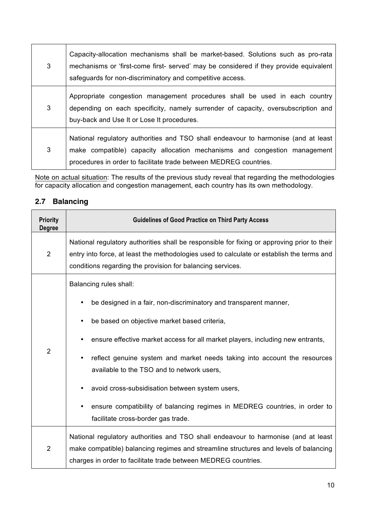| 3 | Capacity-allocation mechanisms shall be market-based. Solutions such as pro-rata<br>mechanisms or 'first-come first- served' may be considered if they provide equivalent<br>safeguards for non-discriminatory and competitive access. |
|---|----------------------------------------------------------------------------------------------------------------------------------------------------------------------------------------------------------------------------------------|
| 3 | Appropriate congestion management procedures shall be used in each country<br>depending on each specificity, namely surrender of capacity, oversubscription and<br>buy-back and Use It or Lose It procedures.                          |
| 3 | National regulatory authorities and TSO shall endeavour to harmonise (and at least<br>make compatible) capacity allocation mechanisms and congestion management<br>procedures in order to facilitate trade between MEDREG countries.   |

Note on actual situation: The results of the previous study reveal that regarding the methodologies for capacity allocation and congestion management, each country has its own methodology.

| <b>Priority</b><br><b>Degree</b> | <b>Guidelines of Good Practice on Third Party Access</b>                                                                                                                                                                                               |
|----------------------------------|--------------------------------------------------------------------------------------------------------------------------------------------------------------------------------------------------------------------------------------------------------|
| $\overline{2}$                   | National regulatory authorities shall be responsible for fixing or approving prior to their<br>entry into force, at least the methodologies used to calculate or establish the terms and<br>conditions regarding the provision for balancing services. |
|                                  | Balancing rules shall:                                                                                                                                                                                                                                 |
|                                  | be designed in a fair, non-discriminatory and transparent manner,                                                                                                                                                                                      |
| $\overline{2}$                   | be based on objective market based criteria,                                                                                                                                                                                                           |
|                                  | ensure effective market access for all market players, including new entrants,                                                                                                                                                                         |
|                                  | reflect genuine system and market needs taking into account the resources<br>available to the TSO and to network users,                                                                                                                                |
|                                  | avoid cross-subsidisation between system users,                                                                                                                                                                                                        |
|                                  | ensure compatibility of balancing regimes in MEDREG countries, in order to<br>facilitate cross-border gas trade.                                                                                                                                       |
| $\overline{2}$                   | National regulatory authorities and TSO shall endeavour to harmonise (and at least<br>make compatible) balancing regimes and streamline structures and levels of balancing<br>charges in order to facilitate trade between MEDREG countries.           |

#### **2.7 Balancing**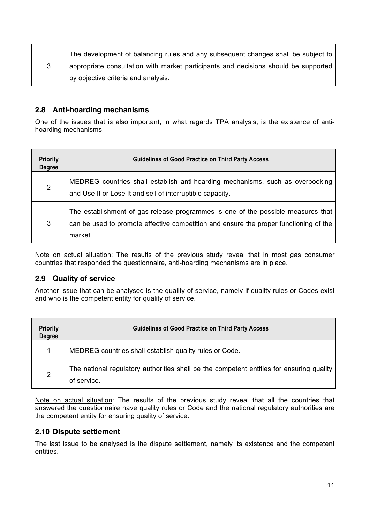| The development of balancing rules and any subsequent changes shall be subject to   |
|-------------------------------------------------------------------------------------|
| appropriate consultation with market participants and decisions should be supported |
| by objective criteria and analysis.                                                 |

#### **2.8 Anti-hoarding mechanisms**

One of the issues that is also important, in what regards TPA analysis, is the existence of antihoarding mechanisms.

| <b>Priority</b><br><b>Degree</b> | <b>Guidelines of Good Practice on Third Party Access</b>                                                                                                                             |
|----------------------------------|--------------------------------------------------------------------------------------------------------------------------------------------------------------------------------------|
| $\overline{2}$                   | MEDREG countries shall establish anti-hoarding mechanisms, such as overbooking<br>and Use It or Lose It and sell of interruptible capacity.                                          |
| 3                                | The establishment of gas-release programmes is one of the possible measures that<br>can be used to promote effective competition and ensure the proper functioning of the<br>market. |

Note on actual situation: The results of the previous study reveal that in most gas consumer countries that responded the questionnaire, anti-hoarding mechanisms are in place.

#### **2.9 Quality of service**

Another issue that can be analysed is the quality of service, namely if quality rules or Codes exist and who is the competent entity for quality of service.

| <b>Priority</b><br><b>Degree</b> | <b>Guidelines of Good Practice on Third Party Access</b>                                                |
|----------------------------------|---------------------------------------------------------------------------------------------------------|
|                                  | MEDREG countries shall establish quality rules or Code.                                                 |
| 2                                | The national regulatory authorities shall be the competent entities for ensuring quality<br>of service. |

Note on actual situation: The results of the previous study reveal that all the countries that answered the questionnaire have quality rules or Code and the national regulatory authorities are the competent entity for ensuring quality of service.

#### **2.10 Dispute settlement**

The last issue to be analysed is the dispute settlement, namely its existence and the competent entities.